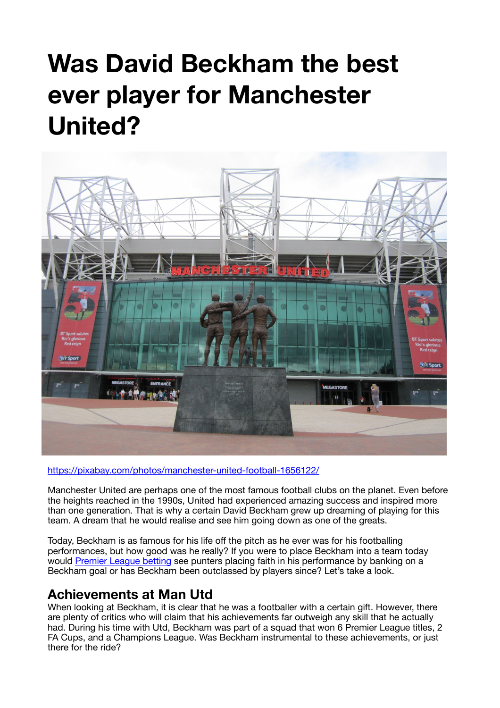# **Was David Beckham the best ever player for Manchester United?**



https://pixabay.com/photos/manchester-united-football-1656122/

Manchester United are perhaps one of the most famous football clubs on the planet. Even before the heights reached in the 1990s, United had experienced amazing success and inspired more than one generation. That is why a certain David Beckham grew up dreaming of playing for this team. A dream that he would realise and see him going down as one of the greats.

Today, Beckham is as famous for his life off the pitch as he ever was for his footballing performances, but how good was he really? If you were to place Beckham into a team today would Premier League betting see punters placing faith in his performance by banking on a Beckham goal or has Beckham been outclassed by players since? Let's take a look.

#### **Achievements at Man Utd**

When looking at Beckham, it is clear that he was a footballer with a certain gift. However, there are plenty of critics who will claim that his achievements far outweigh any skill that he actually had. During his time with Utd, Beckham was part of a squad that won 6 Premier League titles, 2 FA Cups, and a Champions League. Was Beckham instrumental to these achievements, or just there for the ride?